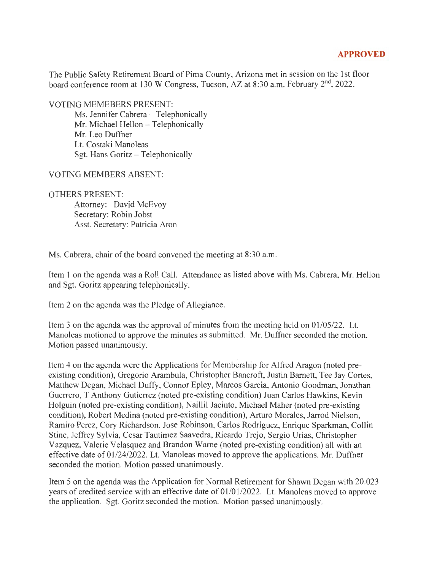## **APPROVED**

The Public Safety Retirement Board of Pima County, Arizona met in session on the 1st floor board conference room at 130 W Congress, Tucson, AZ at 8:30 a.m. February 2<sup>nd</sup>, 2022.

VOTING MEMEBERS PRESENT:

Ms. Jennifer Cabrera - Telephonically Mr. Michael Hellon - Telephonically Mr. Leo Duffner Lt. Costaki Manoleas Sgt. Hans Goritz - Telephonically

VOTING MEMBERS ABSENT:

OTHERS PRESENT:

Attorney: David McEvoy Secretary: Robin Jobst Asst. Secretary: Patricia Aron

Ms. Cabrera, chair of the board convened the meeting at 8:30 a.m.

Item 1 on the agenda was a Roll Call. Attendance as listed above with Ms. Cabrera, Mr. Hellon and Sgt. Goritz appearing telephonically.

Item 2 on the agenda was the Pledge of Allegiance.

Item 3 on the agenda was the approval of minutes from the meeting held on  $01/05/22$ . Lt. Manoleas motioned to approve the minutes as submitted. Mr. Duffner seconded the motion. Motion passed unanimously.

Item 4 on the agenda were the Applications for Membership for Alfred Aragon (noted preexisting condition), Gregorio Arambula, Christopher Bancroft, Justin Barnett, Tee Jay Cortes, Matthew Degan, Michael Duffy, Connor Epley, Marcos Garcia, Antonio Goodman, Jonathan Guerrero, T Anthony Gutierrez (noted pre-existing condition) Juan Carlos Hawkins, Kevin Holguin (noted pre-existing condition), Naillil Jacinto, Michael Maher (noted pre-existing condition), Robert Medina (noted pre-existing condition), Arturo Morales, Jarrod Nielson, Ramiro Perez, Cory Richardson, Jose Robinson, Carlos Rodriguez, Enrique Sparkman, Collin Stine, Jeffrey Sylvia, Cesar Tautimez Saavedra, Ricardo Trejo, Sergio Urias, Christopher Vazquez, Valerie Velasquez and Brandon Warne (noted pre-existing condition) all with an effective date of 01/24/2022. Lt. Manoleas moved to approve the applications. Mr. Duffner seconded the motion. Motion passed unanimously.

Item 5 on the agenda was the Application for Normal Retirement for Shawn Degan with 20.023 years of credited service with an effective date of 01/01/2022. Lt. Manoleas moved to approve the application. Sgt. Goritz seconded the motion. Motion passed unanimously.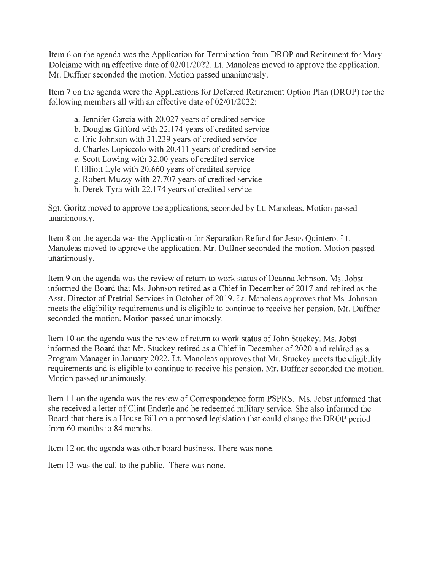Item 6 on the agenda was the Application for Termination from DROP and Retirement for Mary Dolciame with an effective date of 02/01/2022. Lt. Manoleas moved to approve the application. Mr. Duffner seconded the motion. Motion passed unanimously.

Item 7 on the agenda were the Applications for Deferred Retirement Option Plan (DROP) for the following members all with an effective date of 02/01/2022:

- a. Jennifer Garcia with 20.027 years of credited service
- b. Douglas Gifford with 22.174 years of credited service
- c. Eric Johnson with 31.239 years of credited service
- d. Charles Lopiccolo with 20.411 years of credited service
- e. Scott Lowing with 32.00 years of credited service
- f. Elliott Lyle with 20.660 years of credited service
- g. Robert Muzzy with 27. 707 years of credited service
- h. Derek Tyra with 22.174 years of credited service

Sgt. Goritz moved to approve the applications, seconded by Lt. Manoleas. Motion passed unanimously.

Item 8 on the agenda was the Application for Separation Refund for Jesus Quintero. Lt. Manoleas moved to approve the application. Mr. Duffner seconded the motion. Motion passed unanimously.

Item 9 on the agenda was the review of return to work status of Deanna Johnson. Ms. Jobst informed the Board that Ms. Johnson retired as a Chief in December of 2017 and rehired as the Asst. Director of Pretrial Services in October of 2019. Lt. Manoleas approves that Ms. Johnson meets the eligibility requirements and is eligible to continue to receive her pension. Mr. Duffner seconded the motion. Motion passed unanimously.

Item 10 on the agenda was the review of return to work status of John Stuckey. Ms. Jobst informed the Board that Mr. Stuckey retired as a Chief in December of 2020 and rehired as a Program Manager in January 2022. Lt. Manoleas approves that Mr. Stuckey meets the eligibility requirements and is eligible to continue to receive his pension. Mr. Duffner seconded the motion. Motion passed unanimously.

Item 11 on the agenda was the review of Correspondence form PSPRS. Ms. Jobst informed that she received a letter of Clint Enderle and he redeemed military service. She also informed the Board that there is a House Bill on a proposed legislation that could change the DROP period from 60 months to 84 months.

Item 12 on the agenda was other board business. There was none.

Item 13 was the call to the public. There was none.